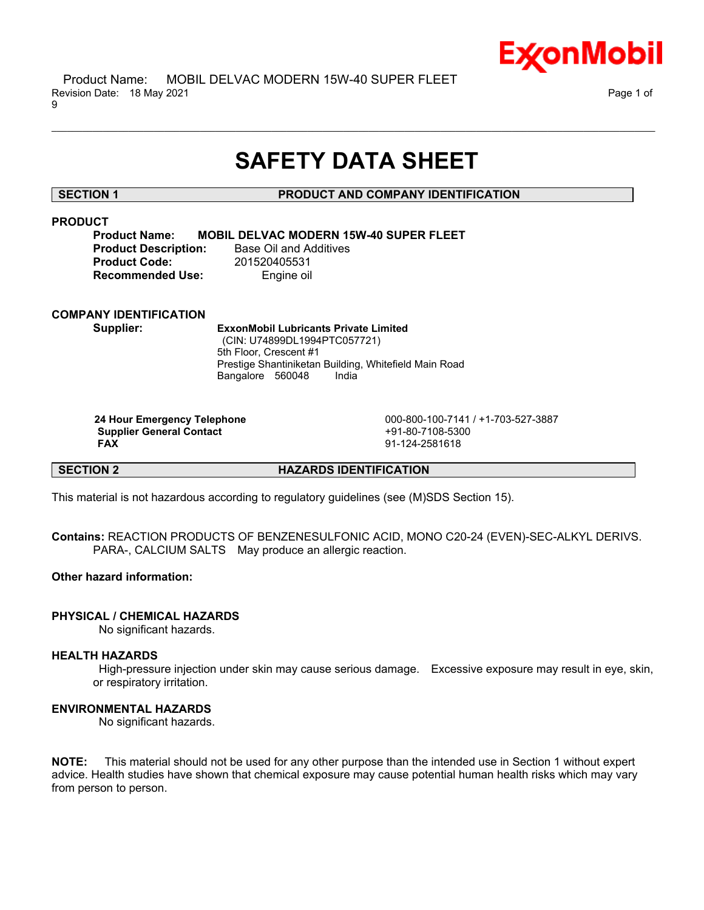

# **SAFETY DATA SHEET**

\_\_\_\_\_\_\_\_\_\_\_\_\_\_\_\_\_\_\_\_\_\_\_\_\_\_\_\_\_\_\_\_\_\_\_\_\_\_\_\_\_\_\_\_\_\_\_\_\_\_\_\_\_\_\_\_\_\_\_\_\_\_\_\_\_\_\_\_\_\_\_\_\_\_\_\_\_\_\_\_\_\_\_\_\_\_\_\_\_\_\_\_\_\_\_\_\_\_\_\_\_\_\_\_\_\_\_\_\_\_\_\_\_\_\_\_\_\_

# **SECTION 1 PRODUCT AND COMPANY IDENTIFICATION**

# **PRODUCT**

**Product Name: MOBIL DELVAC MODERN 15W-40 SUPER FLEET Product Description:** Base Oil and Additives

**Product Code:** 201520405531 **Recommended Use:** Engine oil

# **COMPANY IDENTIFICATION**

**Supplier: ExxonMobil Lubricants Private Limited** (CIN: U74899DL1994PTC057721) 5th Floor, Crescent #1 Prestige Shantiniketan Building, Whitefield Main Road Bangalore 560048 India

**Supplier General Contact** +91-80-7108-5300<br>
FAX 91-124-2581618

 **24 Hour Emergency Telephone** 000-800-100-7141 / +1-703-527-3887  **FAX** 91-124-2581618

**SECTION 2 HAZARDS IDENTIFICATION**

This material is not hazardous according to regulatory guidelines (see (M)SDS Section 15).

**Contains:** REACTION PRODUCTS OF BENZENESULFONIC ACID, MONO C20-24 (EVEN)-SEC-ALKYL DERIVS. PARA-, CALCIUM SALTS May produce an allergic reaction.

# **Other hazard information:**

# **PHYSICAL / CHEMICAL HAZARDS**

No significant hazards.

# **HEALTH HAZARDS**

 High-pressure injection under skin may cause serious damage. Excessive exposure may result in eye, skin, or respiratory irritation.

# **ENVIRONMENTAL HAZARDS**

No significant hazards.

**NOTE:** This material should not be used for any other purpose than the intended use in Section 1 without expert advice. Health studies have shown that chemical exposure may cause potential human health risks which may vary from person to person.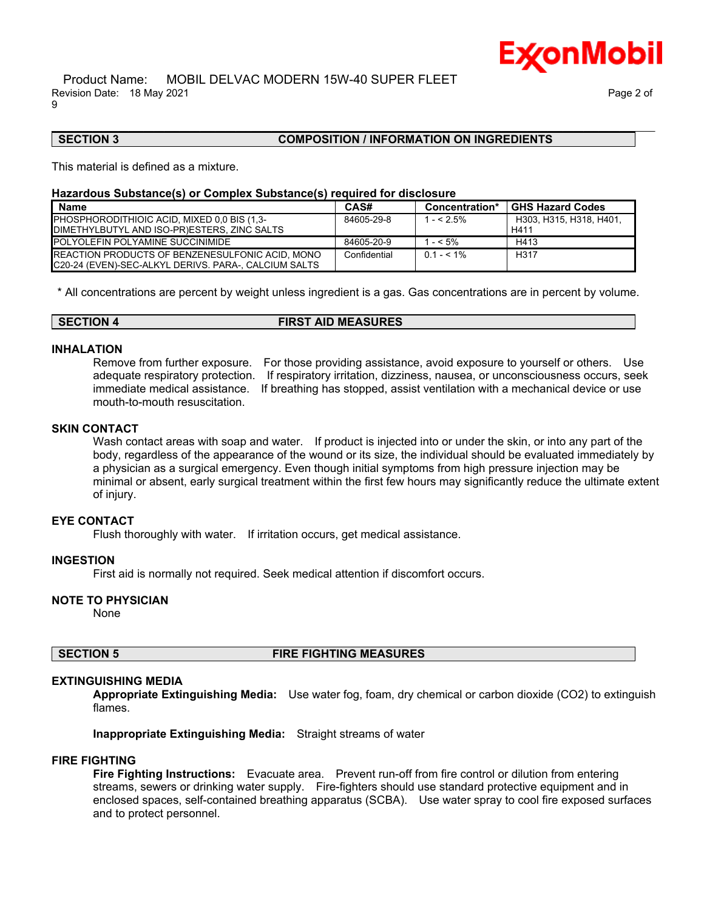# **SECTION 3 COMPOSITION / INFORMATION ON INGREDIENTS**

This material is defined as a mixture.

#### **Hazardous Substance(s) or Complex Substance(s) required for disclosure**

| <b>Name</b>                                            | CAS#         | Concentration* | <b>GHS Hazard Codes</b> |
|--------------------------------------------------------|--------------|----------------|-------------------------|
| PHOSPHORODITHIOIC ACID, MIXED 0.0 BIS (1.3-            | 84605-29-8   | $1 - 5\%$      | H303. H315. H318. H401. |
| DIMETHYLBUTYL AND ISO-PR)ESTERS. ZINC SALTS            |              |                | H411                    |
| <b>POLYOLEFIN POLYAMINE SUCCINIMIDE</b>                | 84605-20-9   | $- < 5\%$      | H413                    |
| <b>REACTION PRODUCTS OF BENZENESULFONIC ACID, MONO</b> | Confidential | $0.1 - 5.1\%$  | H <sub>317</sub>        |
| IC20-24 (EVEN)-SEC-ALKYL DERIVS. PARA-. CALCIUM SALTS  |              |                |                         |

\_\_\_\_\_\_\_\_\_\_\_\_\_\_\_\_\_\_\_\_\_\_\_\_\_\_\_\_\_\_\_\_\_\_\_\_\_\_\_\_\_\_\_\_\_\_\_\_\_\_\_\_\_\_\_\_\_\_\_\_\_\_\_\_\_\_\_\_\_\_\_\_\_\_\_\_\_\_\_\_\_\_\_\_\_\_\_\_\_\_\_\_\_\_\_\_\_\_\_\_\_\_\_\_\_\_\_\_\_\_\_\_\_\_\_\_\_\_

\* All concentrations are percent by weight unless ingredient is a gas. Gas concentrations are in percent by volume.

| <b>SECTION 4</b> | <b>FIRST AID MEASURES</b> |  |
|------------------|---------------------------|--|
|------------------|---------------------------|--|

### **INHALATION**

Remove from further exposure. For those providing assistance, avoid exposure to yourself or others. Use adequate respiratory protection. If respiratory irritation, dizziness, nausea, or unconsciousness occurs, seek immediate medical assistance. If breathing has stopped, assist ventilation with a mechanical device or use mouth-to-mouth resuscitation.

### **SKIN CONTACT**

Wash contact areas with soap and water. If product is injected into or under the skin, or into any part of the body, regardless of the appearance of the wound or its size, the individual should be evaluated immediately by a physician as a surgical emergency. Even though initial symptoms from high pressure injection may be minimal or absent, early surgical treatment within the first few hours may significantly reduce the ultimate extent of injury.

# **EYE CONTACT**

Flush thoroughly with water. If irritation occurs, get medical assistance.

# **INGESTION**

First aid is normally not required. Seek medical attention if discomfort occurs.

# **NOTE TO PHYSICIAN**

None

### **SECTION 5 FIRE FIGHTING MEASURES**

# **EXTINGUISHING MEDIA**

**Appropriate Extinguishing Media:** Use water fog, foam, dry chemical or carbon dioxide (CO2) to extinguish flames.

**Inappropriate Extinguishing Media:** Straight streams of water

# **FIRE FIGHTING**

**Fire Fighting Instructions:** Evacuate area. Prevent run-off from fire control or dilution from entering streams, sewers or drinking water supply. Fire-fighters should use standard protective equipment and in enclosed spaces, self-contained breathing apparatus (SCBA). Use water spray to cool fire exposed surfaces and to protect personnel.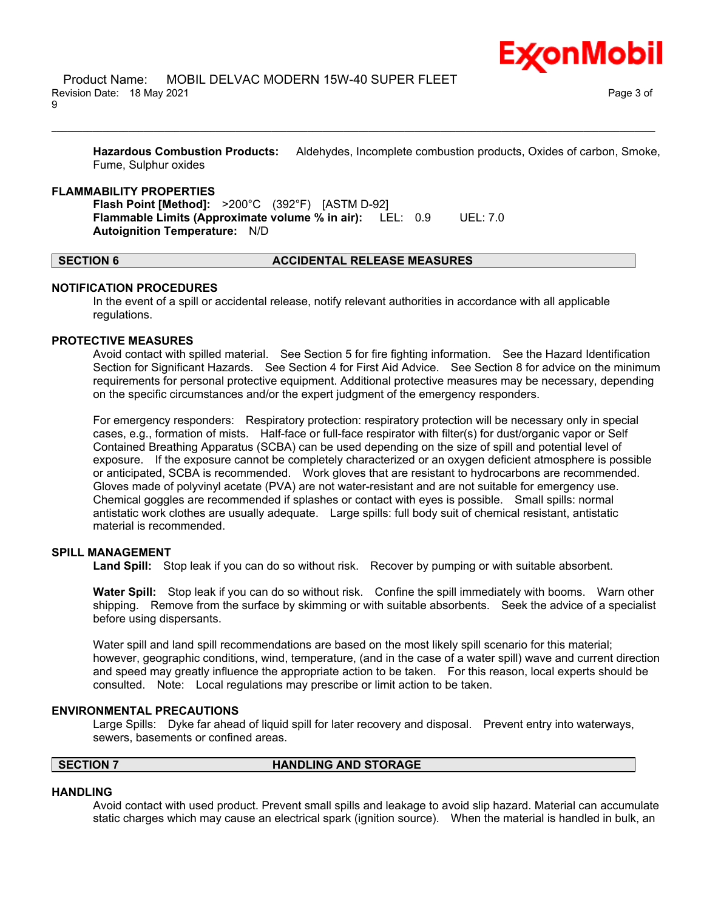**Hazardous Combustion Products:** Aldehydes, Incomplete combustion products, Oxides of carbon, Smoke, Fume, Sulphur oxides

\_\_\_\_\_\_\_\_\_\_\_\_\_\_\_\_\_\_\_\_\_\_\_\_\_\_\_\_\_\_\_\_\_\_\_\_\_\_\_\_\_\_\_\_\_\_\_\_\_\_\_\_\_\_\_\_\_\_\_\_\_\_\_\_\_\_\_\_\_\_\_\_\_\_\_\_\_\_\_\_\_\_\_\_\_\_\_\_\_\_\_\_\_\_\_\_\_\_\_\_\_\_\_\_\_\_\_\_\_\_\_\_\_\_\_\_\_\_

#### **FLAMMABILITY PROPERTIES**

**Flash Point [Method]:** >200°C (392°F) [ASTM D-92] **Flammable Limits (Approximate volume % in air):** LEL: 0.9 UEL: 7.0 **Autoignition Temperature:** N/D

### **SECTION 6 ACCIDENTAL RELEASE MEASURES**

### **NOTIFICATION PROCEDURES**

In the event of a spill or accidental release, notify relevant authorities in accordance with all applicable regulations.

### **PROTECTIVE MEASURES**

Avoid contact with spilled material. See Section 5 for fire fighting information. See the Hazard Identification Section for Significant Hazards. See Section 4 for First Aid Advice. See Section 8 for advice on the minimum requirements for personal protective equipment. Additional protective measures may be necessary, depending on the specific circumstances and/or the expert judgment of the emergency responders.

For emergency responders: Respiratory protection: respiratory protection will be necessary only in special cases, e.g., formation of mists. Half-face or full-face respirator with filter(s) for dust/organic vapor or Self Contained Breathing Apparatus (SCBA) can be used depending on the size of spill and potential level of exposure. If the exposure cannot be completely characterized or an oxygen deficient atmosphere is possible or anticipated, SCBA is recommended. Work gloves that are resistant to hydrocarbons are recommended. Gloves made of polyvinyl acetate (PVA) are not water-resistant and are not suitable for emergency use. Chemical goggles are recommended if splashes or contact with eyes is possible. Small spills: normal antistatic work clothes are usually adequate. Large spills: full body suit of chemical resistant, antistatic material is recommended.

# **SPILL MANAGEMENT**

**Land Spill:** Stop leak if you can do so without risk. Recover by pumping or with suitable absorbent.

**Water Spill:** Stop leak if you can do so without risk. Confine the spill immediately with booms. Warn other shipping. Remove from the surface by skimming or with suitable absorbents. Seek the advice of a specialist before using dispersants.

Water spill and land spill recommendations are based on the most likely spill scenario for this material; however, geographic conditions, wind, temperature, (and in the case of a water spill) wave and current direction and speed may greatly influence the appropriate action to be taken. For this reason, local experts should be consulted. Note: Local regulations may prescribe or limit action to be taken.

#### **ENVIRONMENTAL PRECAUTIONS**

Large Spills: Dyke far ahead of liquid spill for later recovery and disposal. Prevent entry into waterways, sewers, basements or confined areas.

# **SECTION 7 HANDLING AND STORAGE**

#### **HANDLING**

Avoid contact with used product. Prevent small spills and leakage to avoid slip hazard. Material can accumulate static charges which may cause an electrical spark (ignition source). When the material is handled in bulk, an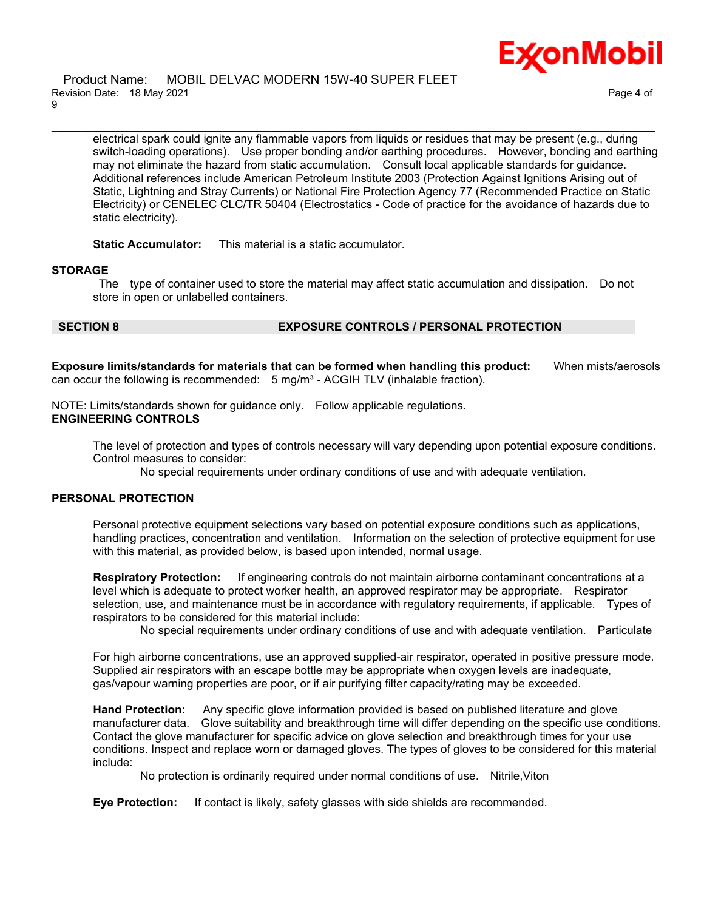

electrical spark could ignite any flammable vapors from liquids or residues that may be present (e.g., during switch-loading operations). Use proper bonding and/or earthing procedures. However, bonding and earthing may not eliminate the hazard from static accumulation. Consult local applicable standards for guidance. Additional references include American Petroleum Institute 2003 (Protection Against Ignitions Arising out of Static, Lightning and Stray Currents) or National Fire Protection Agency 77 (Recommended Practice on Static Electricity) or CENELEC CLC/TR 50404 (Electrostatics - Code of practice for the avoidance of hazards due to static electricity).

\_\_\_\_\_\_\_\_\_\_\_\_\_\_\_\_\_\_\_\_\_\_\_\_\_\_\_\_\_\_\_\_\_\_\_\_\_\_\_\_\_\_\_\_\_\_\_\_\_\_\_\_\_\_\_\_\_\_\_\_\_\_\_\_\_\_\_\_\_\_\_\_\_\_\_\_\_\_\_\_\_\_\_\_\_\_\_\_\_\_\_\_\_\_\_\_\_\_\_\_\_\_\_\_\_\_\_\_\_\_\_\_\_\_\_\_\_\_

**Static Accumulator:** This material is a static accumulator.

### **STORAGE**

 The type of container used to store the material may affect static accumulation and dissipation. Do not store in open or unlabelled containers.

# **SECTION 8 EXPOSURE CONTROLS / PERSONAL PROTECTION**

**Exposure limits/standards for materials that can be formed when handling this product:** When mists/aerosols can occur the following is recommended:  $5 \text{ mg/m}^3$  - ACGIH TLV (inhalable fraction).

NOTE: Limits/standards shown for guidance only. Follow applicable regulations. **ENGINEERING CONTROLS**

The level of protection and types of controls necessary will vary depending upon potential exposure conditions. Control measures to consider:

No special requirements under ordinary conditions of use and with adequate ventilation.

### **PERSONAL PROTECTION**

Personal protective equipment selections vary based on potential exposure conditions such as applications, handling practices, concentration and ventilation. Information on the selection of protective equipment for use with this material, as provided below, is based upon intended, normal usage.

**Respiratory Protection:** If engineering controls do not maintain airborne contaminant concentrations at a level which is adequate to protect worker health, an approved respirator may be appropriate. Respirator selection, use, and maintenance must be in accordance with regulatory requirements, if applicable. Types of respirators to be considered for this material include:

No special requirements under ordinary conditions of use and with adequate ventilation. Particulate

For high airborne concentrations, use an approved supplied-air respirator, operated in positive pressure mode. Supplied air respirators with an escape bottle may be appropriate when oxygen levels are inadequate, gas/vapour warning properties are poor, or if air purifying filter capacity/rating may be exceeded.

**Hand Protection:** Any specific glove information provided is based on published literature and glove manufacturer data. Glove suitability and breakthrough time will differ depending on the specific use conditions. Contact the glove manufacturer for specific advice on glove selection and breakthrough times for your use conditions. Inspect and replace worn or damaged gloves. The types of gloves to be considered for this material include:

No protection is ordinarily required under normal conditions of use. Nitrile,Viton

**Eye Protection:** If contact is likely, safety glasses with side shields are recommended.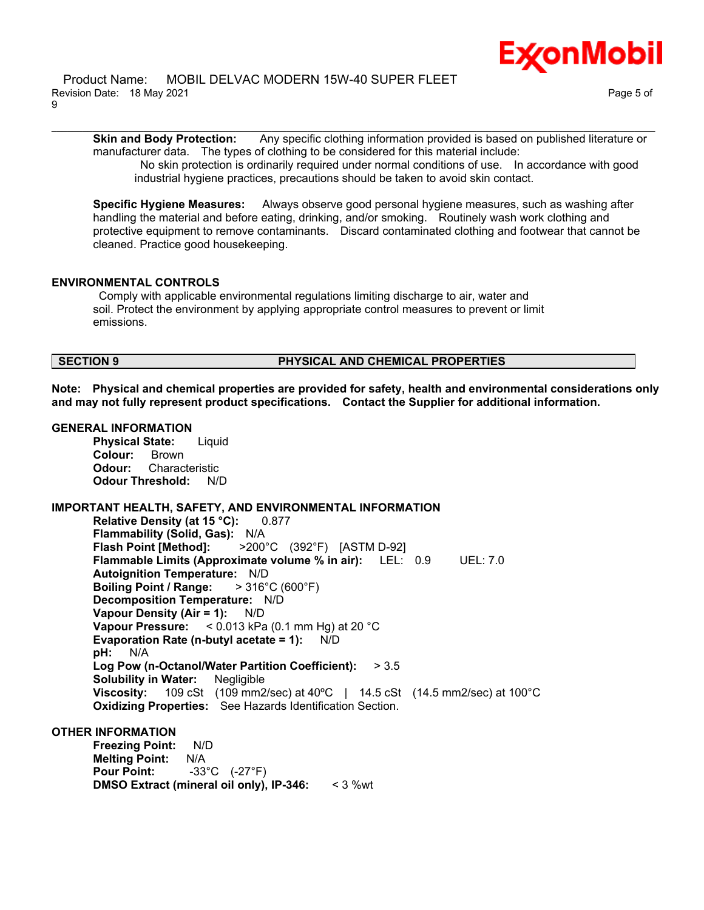**Skin and Body Protection:** Any specific clothing information provided is based on published literature or manufacturer data. The types of clothing to be considered for this material include:

\_\_\_\_\_\_\_\_\_\_\_\_\_\_\_\_\_\_\_\_\_\_\_\_\_\_\_\_\_\_\_\_\_\_\_\_\_\_\_\_\_\_\_\_\_\_\_\_\_\_\_\_\_\_\_\_\_\_\_\_\_\_\_\_\_\_\_\_\_\_\_\_\_\_\_\_\_\_\_\_\_\_\_\_\_\_\_\_\_\_\_\_\_\_\_\_\_\_\_\_\_\_\_\_\_\_\_\_\_\_\_\_\_\_\_\_\_\_

 No skin protection is ordinarily required under normal conditions of use. In accordance with good industrial hygiene practices, precautions should be taken to avoid skin contact.

**Specific Hygiene Measures:** Always observe good personal hygiene measures, such as washing after handling the material and before eating, drinking, and/or smoking. Routinely wash work clothing and protective equipment to remove contaminants. Discard contaminated clothing and footwear that cannot be cleaned. Practice good housekeeping.

# **ENVIRONMENTAL CONTROLS**

 Comply with applicable environmental regulations limiting discharge to air, water and soil. Protect the environment by applying appropriate control measures to prevent or limit emissions.

# **SECTION 9 PHYSICAL AND CHEMICAL PROPERTIES**

**Note: Physical and chemical properties are provided for safety, health and environmental considerations only and may not fully represent product specifications. Contact the Supplier for additional information.**

# **GENERAL INFORMATION**

**Physical State:** Liquid **Colour:** Brown **Odour:** Characteristic **Odour Threshold:** N/D

# **IMPORTANT HEALTH, SAFETY, AND ENVIRONMENTAL INFORMATION**

**Relative Density (at 15 °C):** 0.877 **Flammability (Solid, Gas):** N/A **Flash Point [Method]:** >200°C (392°F) [ASTM D-92] **Flammable Limits (Approximate volume % in air):** LEL: 0.9 UEL: 7.0 **Autoignition Temperature:** N/D **Boiling Point / Range:** > 316°C (600°F) **Decomposition Temperature:** N/D **Vapour Density (Air = 1):** N/D **Vapour Pressure:** < 0.013 kPa (0.1 mm Hg) at 20 °C **Evaporation Rate (n-butyl acetate = 1):** N/D **pH:** N/A **Log Pow (n-Octanol/Water Partition Coefficient):** > 3.5 **Solubility in Water:** Negligible **Viscosity:** 109 cSt (109 mm2/sec) at 40ºC | 14.5 cSt (14.5 mm2/sec) at 100°C **Oxidizing Properties:** See Hazards Identification Section.

# **OTHER INFORMATION**

**Freezing Point:** N/D **Melting Point:** N/A **Pour Point:** -33°C (-27°F) **DMSO Extract (mineral oil only), IP-346:** < 3 %wt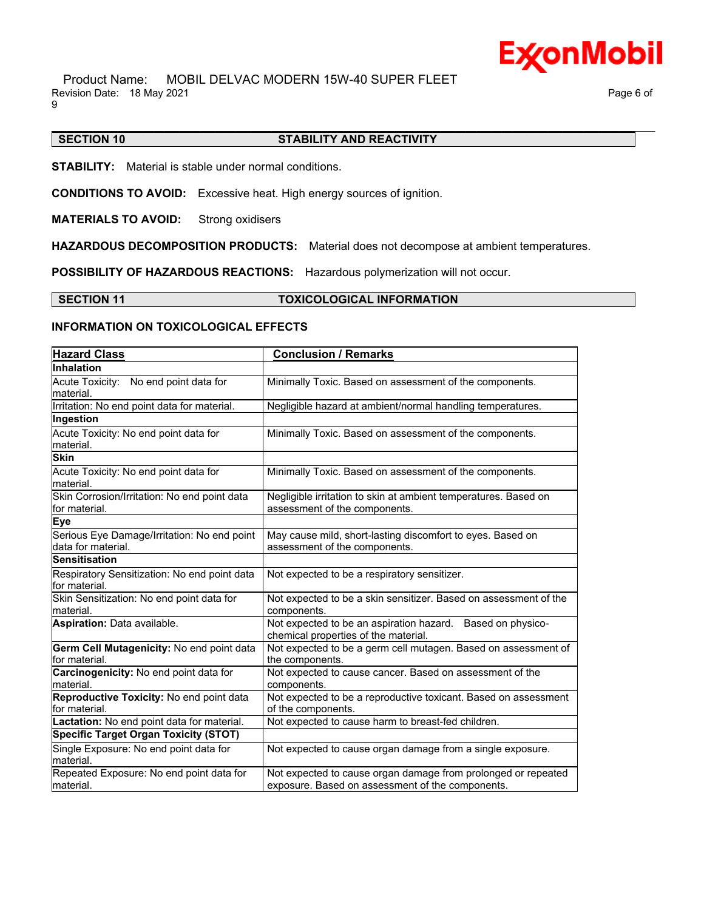

 Product Name: MOBIL DELVAC MODERN 15W-40 SUPER FLEET Revision Date: 18 May 2021 **Page 6 of Page 6 of Page 6 of Page 6 of Page 6 of Page 6 of** 9

# **SECTION 10 STABILITY AND REACTIVITY**

\_\_\_\_\_\_\_\_\_\_\_\_\_\_\_\_\_\_\_\_\_\_\_\_\_\_\_\_\_\_\_\_\_\_\_\_\_\_\_\_\_\_\_\_\_\_\_\_\_\_\_\_\_\_\_\_\_\_\_\_\_\_\_\_\_\_\_\_\_\_\_\_\_\_\_\_\_\_\_\_\_\_\_\_\_\_\_\_\_\_\_\_\_\_\_\_\_\_\_\_\_\_\_\_\_\_\_\_\_\_\_\_\_\_\_\_\_\_

**STABILITY:** Material is stable under normal conditions.

**CONDITIONS TO AVOID:** Excessive heat. High energy sources of ignition.

**MATERIALS TO AVOID:** Strong oxidisers

**HAZARDOUS DECOMPOSITION PRODUCTS:** Material does not decompose at ambient temperatures.

**POSSIBILITY OF HAZARDOUS REACTIONS:** Hazardous polymerization will not occur.

**SECTION 11 TOXICOLOGICAL INFORMATION**

# **INFORMATION ON TOXICOLOGICAL EFFECTS**

| <b>Hazard Class</b>                                               | <b>Conclusion / Remarks</b>                                                                                       |
|-------------------------------------------------------------------|-------------------------------------------------------------------------------------------------------------------|
| <b>Inhalation</b>                                                 |                                                                                                                   |
| Acute Toxicity: No end point data for<br>material.                | Minimally Toxic. Based on assessment of the components.                                                           |
| Irritation: No end point data for material.                       | Negligible hazard at ambient/normal handling temperatures.                                                        |
| Ingestion                                                         |                                                                                                                   |
| Acute Toxicity: No end point data for<br>material.                | Minimally Toxic. Based on assessment of the components.                                                           |
| <b>Skin</b>                                                       |                                                                                                                   |
| Acute Toxicity: No end point data for<br>material.                | Minimally Toxic. Based on assessment of the components.                                                           |
| Skin Corrosion/Irritation: No end point data<br>for material.     | Negligible irritation to skin at ambient temperatures. Based on<br>assessment of the components.                  |
| <b>Eye</b>                                                        |                                                                                                                   |
| Serious Eye Damage/Irritation: No end point<br>data for material. | May cause mild, short-lasting discomfort to eyes. Based on<br>assessment of the components.                       |
| <b>Sensitisation</b>                                              |                                                                                                                   |
| Respiratory Sensitization: No end point data<br>for material.     | Not expected to be a respiratory sensitizer.                                                                      |
| Skin Sensitization: No end point data for<br>material.            | Not expected to be a skin sensitizer. Based on assessment of the<br>components.                                   |
| Aspiration: Data available.                                       | Not expected to be an aspiration hazard. Based on physico-<br>chemical properties of the material.                |
| Germ Cell Mutagenicity: No end point data<br>for material.        | Not expected to be a germ cell mutagen. Based on assessment of<br>the components.                                 |
| Carcinogenicity: No end point data for<br>material.               | Not expected to cause cancer. Based on assessment of the<br>components.                                           |
| Reproductive Toxicity: No end point data<br>for material.         | Not expected to be a reproductive toxicant. Based on assessment<br>of the components.                             |
| Lactation: No end point data for material.                        | Not expected to cause harm to breast-fed children.                                                                |
| <b>Specific Target Organ Toxicity (STOT)</b>                      |                                                                                                                   |
| Single Exposure: No end point data for<br>material.               | Not expected to cause organ damage from a single exposure.                                                        |
| Repeated Exposure: No end point data for<br>lmaterial.            | Not expected to cause organ damage from prolonged or repeated<br>exposure. Based on assessment of the components. |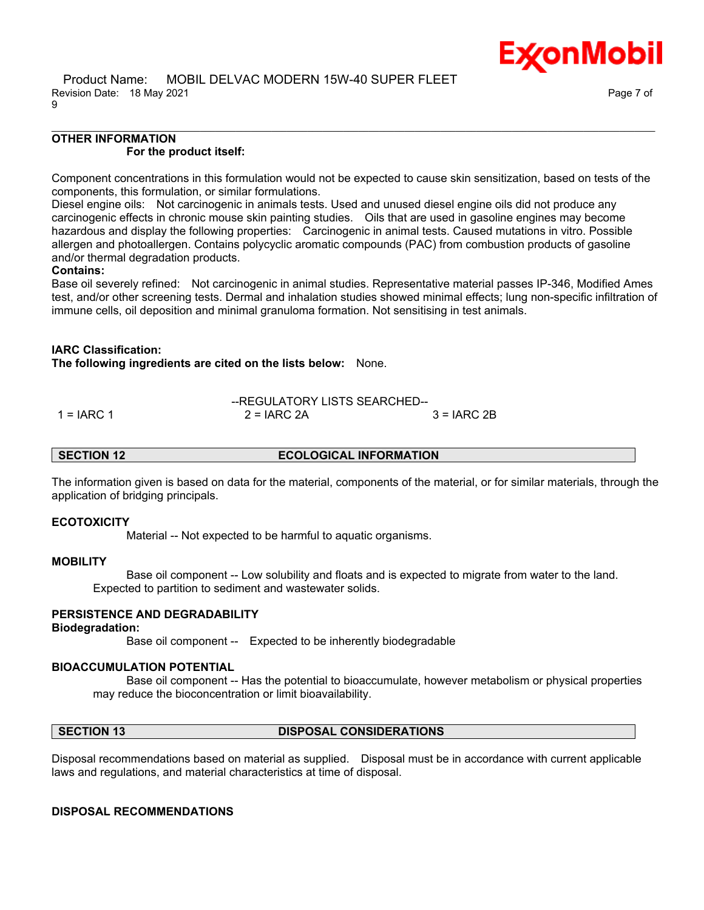### **OTHER INFORMATION For the product itself:**

Component concentrations in this formulation would not be expected to cause skin sensitization, based on tests of the components, this formulation, or similar formulations.

\_\_\_\_\_\_\_\_\_\_\_\_\_\_\_\_\_\_\_\_\_\_\_\_\_\_\_\_\_\_\_\_\_\_\_\_\_\_\_\_\_\_\_\_\_\_\_\_\_\_\_\_\_\_\_\_\_\_\_\_\_\_\_\_\_\_\_\_\_\_\_\_\_\_\_\_\_\_\_\_\_\_\_\_\_\_\_\_\_\_\_\_\_\_\_\_\_\_\_\_\_\_\_\_\_\_\_\_\_\_\_\_\_\_\_\_\_\_

Diesel engine oils: Not carcinogenic in animals tests. Used and unused diesel engine oils did not produce any carcinogenic effects in chronic mouse skin painting studies. Oils that are used in gasoline engines may become hazardous and display the following properties: Carcinogenic in animal tests. Caused mutations in vitro. Possible allergen and photoallergen. Contains polycyclic aromatic compounds (PAC) from combustion products of gasoline and/or thermal degradation products.

### **Contains:**

Base oil severely refined: Not carcinogenic in animal studies. Representative material passes IP-346, Modified Ames test, and/or other screening tests. Dermal and inhalation studies showed minimal effects; lung non-specific infiltration of immune cells, oil deposition and minimal granuloma formation. Not sensitising in test animals.

# **IARC Classification:**

**The following ingredients are cited on the lists below:** None.

--REGULATORY LISTS SEARCHED--  $1 = IARC 1$  2 = IARC 2A  $3 = IARC 2B$ 

**SECTION 12 ECOLOGICAL INFORMATION** 

The information given is based on data for the material, components of the material, or for similar materials, through the application of bridging principals.

# **ECOTOXICITY**

Material -- Not expected to be harmful to aquatic organisms.

# **MOBILITY**

 Base oil component -- Low solubility and floats and is expected to migrate from water to the land. Expected to partition to sediment and wastewater solids.

# **PERSISTENCE AND DEGRADABILITY**

#### **Biodegradation:**

Base oil component -- Expected to be inherently biodegradable

# **BIOACCUMULATION POTENTIAL**

 Base oil component -- Has the potential to bioaccumulate, however metabolism or physical properties may reduce the bioconcentration or limit bioavailability.

#### **SECTION 13 DISPOSAL CONSIDERATIONS**

Disposal recommendations based on material as supplied. Disposal must be in accordance with current applicable laws and regulations, and material characteristics at time of disposal.

# **DISPOSAL RECOMMENDATIONS**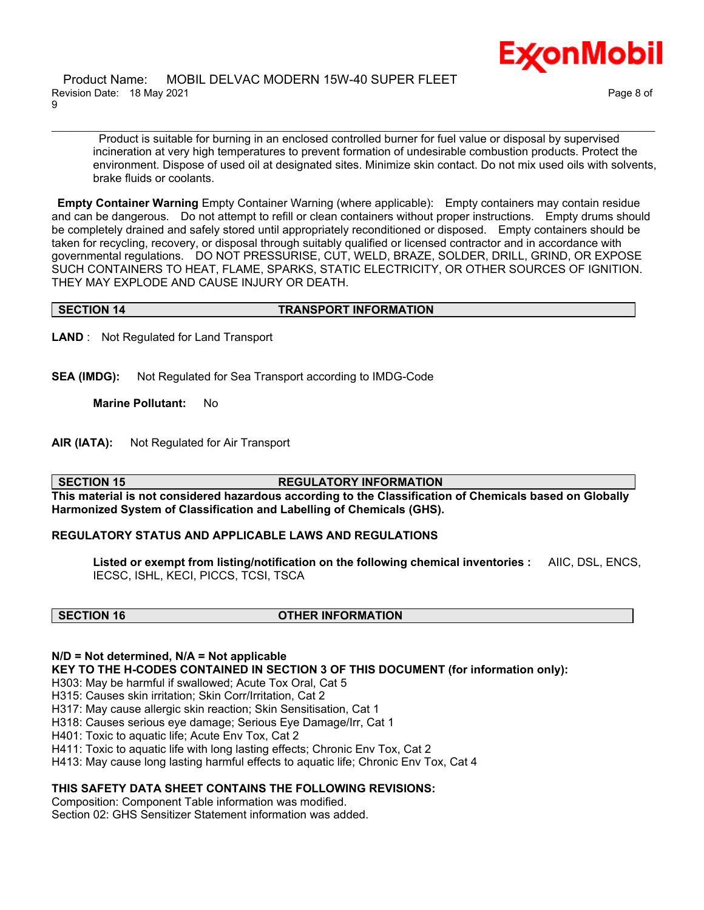Product is suitable for burning in an enclosed controlled burner for fuel value or disposal by supervised incineration at very high temperatures to prevent formation of undesirable combustion products. Protect the environment. Dispose of used oil at designated sites. Minimize skin contact. Do not mix used oils with solvents, brake fluids or coolants.

**Empty Container Warning** Empty Container Warning (where applicable): Empty containers may contain residue and can be dangerous. Do not attempt to refill or clean containers without proper instructions. Empty drums should be completely drained and safely stored until appropriately reconditioned or disposed. Empty containers should be taken for recycling, recovery, or disposal through suitably qualified or licensed contractor and in accordance with governmental regulations. DO NOT PRESSURISE, CUT, WELD, BRAZE, SOLDER, DRILL, GRIND, OR EXPOSE SUCH CONTAINERS TO HEAT, FLAME, SPARKS, STATIC ELECTRICITY, OR OTHER SOURCES OF IGNITION. THEY MAY EXPLODE AND CAUSE INJURY OR DEATH.

\_\_\_\_\_\_\_\_\_\_\_\_\_\_\_\_\_\_\_\_\_\_\_\_\_\_\_\_\_\_\_\_\_\_\_\_\_\_\_\_\_\_\_\_\_\_\_\_\_\_\_\_\_\_\_\_\_\_\_\_\_\_\_\_\_\_\_\_\_\_\_\_\_\_\_\_\_\_\_\_\_\_\_\_\_\_\_\_\_\_\_\_\_\_\_\_\_\_\_\_\_\_\_\_\_\_\_\_\_\_\_\_\_\_\_\_\_\_

### **SECTION 14 TRANSPORT INFORMATION**

**LAND** : Not Regulated for Land Transport

**SEA (IMDG):** Not Regulated for Sea Transport according to IMDG-Code

**Marine Pollutant:** No

**AIR (IATA):** Not Regulated for Air Transport

**SECTION 15 REGULATORY INFORMATION**

**This material is not considered hazardous according to the Classification of Chemicals based on Globally Harmonized System of Classification and Labelling of Chemicals (GHS).**

# **REGULATORY STATUS AND APPLICABLE LAWS AND REGULATIONS**

**Listed or exempt from listing/notification on the following chemical inventories :** AIIC, DSL, ENCS, IECSC, ISHL, KECI, PICCS, TCSI, TSCA

#### **SECTION 16 OTHER INFORMATION**

#### **N/D = Not determined, N/A = Not applicable**

**KEY TO THE H-CODES CONTAINED IN SECTION 3 OF THIS DOCUMENT (for information only):**

H303: May be harmful if swallowed; Acute Tox Oral, Cat 5

H315: Causes skin irritation; Skin Corr/Irritation, Cat 2

H317: May cause allergic skin reaction; Skin Sensitisation, Cat 1

H318: Causes serious eye damage; Serious Eye Damage/Irr, Cat 1

H401: Toxic to aquatic life; Acute Env Tox, Cat 2

H411: Toxic to aquatic life with long lasting effects; Chronic Env Tox, Cat 2

H413: May cause long lasting harmful effects to aquatic life; Chronic Env Tox, Cat 4

# **THIS SAFETY DATA SHEET CONTAINS THE FOLLOWING REVISIONS:**

Composition: Component Table information was modified. Section 02: GHS Sensitizer Statement information was added.